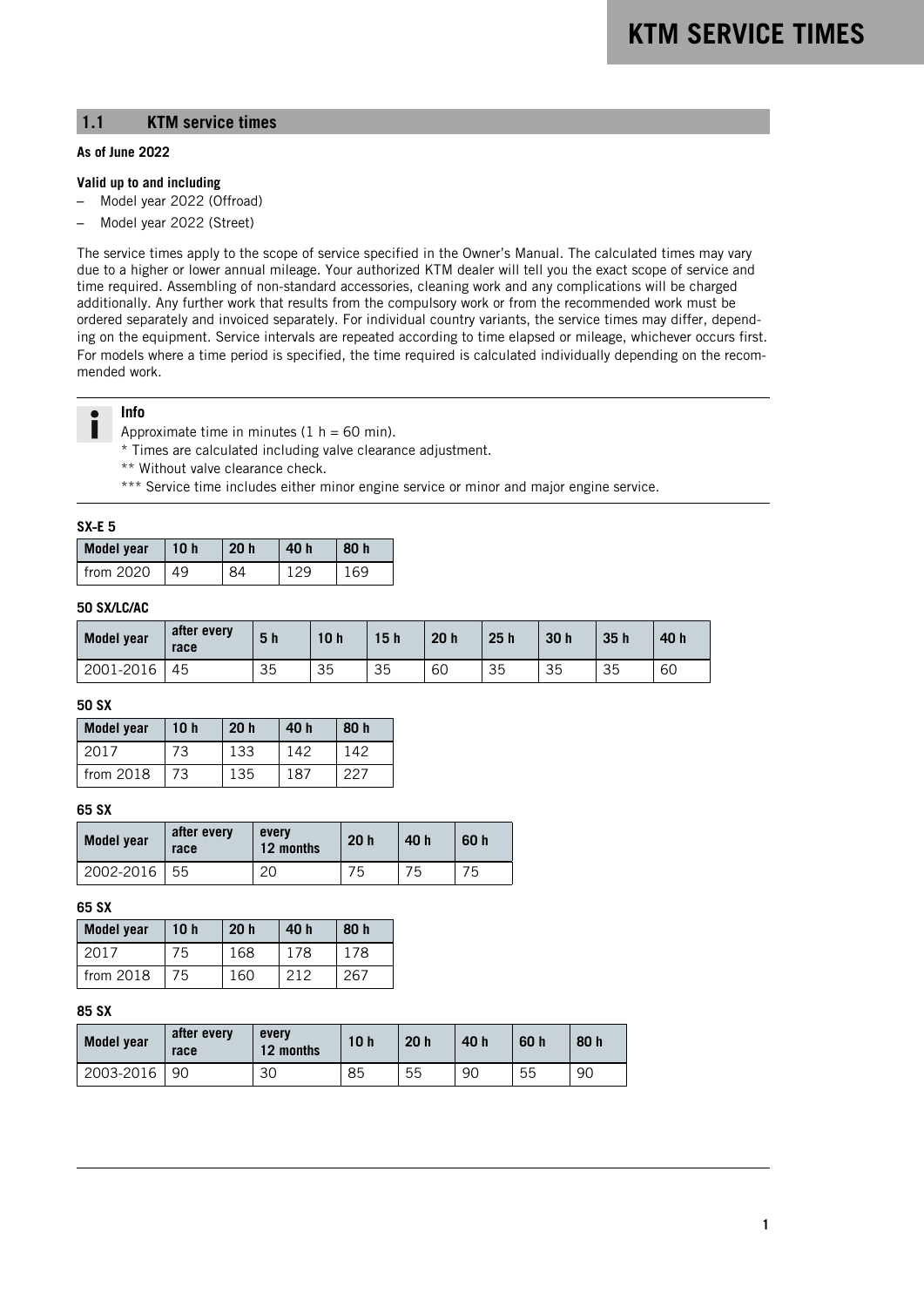## **1.1 KTM service times**

### **As of June 2022**

#### **Valid up to and including**

- Model year 2022 (Offroad)
- Model year 2022 (Street)

The service times apply to the scope of service specified in the Owner's Manual. The calculated times may vary due to a higher or lower annual mileage. Your authorized KTM dealer will tell you the exact scope of service and time required. Assembling of non-standard accessories, cleaning work and any complications will be charged additionally. Any further work that results from the compulsory work or from the recommended work must be ordered separately and invoiced separately. For individual country variants, the service times may differ, depending on the equipment. Service intervals are repeated according to time elapsed or mileage, whichever occurs first. For models where a time period is specified, the time required is calculated individually depending on the recommended work.

# **Info**

Approximate time in minutes  $(1 h = 60 min)$ .

\* Times are calculated including valve clearance adjustment.

- \*\* Without valve clearance check.
- \*\*\* Service time includes either minor engine service or minor and major engine service.

#### **SX**‑**E 5**

| <b>Model year</b> | 10 <sub>h</sub> | 20 <sub>h</sub> | 40 h | 80 h |
|-------------------|-----------------|-----------------|------|------|
| from 2020         | 49              | 94              |      |      |

### **50 SX/LC/AC**

| Model year | after every<br>race | 5 <sub>h</sub> | 10 <sub>h</sub> | 15h | 20 <sub>h</sub> | 25h | 30 <sub>h</sub> | 35h | 40 h |
|------------|---------------------|----------------|-----------------|-----|-----------------|-----|-----------------|-----|------|
| 2001-2016  | 45                  | 35             | 35              | 35  | 60              | 35  | 35              | 35  | 60   |

### **50 SX**

| <b>Model year</b> | 10 <sub>h</sub> | 20 <sub>h</sub> | 40 h | 80 h |
|-------------------|-----------------|-----------------|------|------|
| 2017              | 73              | 133             | 142  | 142  |
| from $2018$       | 73              | 135             | 187  | 227  |

### **65 SX**

| <b>Model year</b> | after every<br>race | every<br>12 months | 20 <sub>h</sub> | 40 h | 60 h |
|-------------------|---------------------|--------------------|-----------------|------|------|
| 2002-2016         | 55                  | 20                 | ט'              | 75   | 75   |

### **65 SX**

| <b>Model year</b> | 10h<br>20 <sub>h</sub> |     | 40 h | 80 h |
|-------------------|------------------------|-----|------|------|
| 2017              | 75                     | 168 | 178  | 178  |
| from $2018$       | 75                     | 160 | 212  | 267  |

### **85 SX**

| <b>Model year</b> | after every<br>race | every<br>12 months | 10 <sub>h</sub> | 20 <sub>h</sub> | 40 h | 60 h | 80 h |
|-------------------|---------------------|--------------------|-----------------|-----------------|------|------|------|
| 2003-2016         | 90                  | 30                 | 85              | 55              | 90   | 55   | 90   |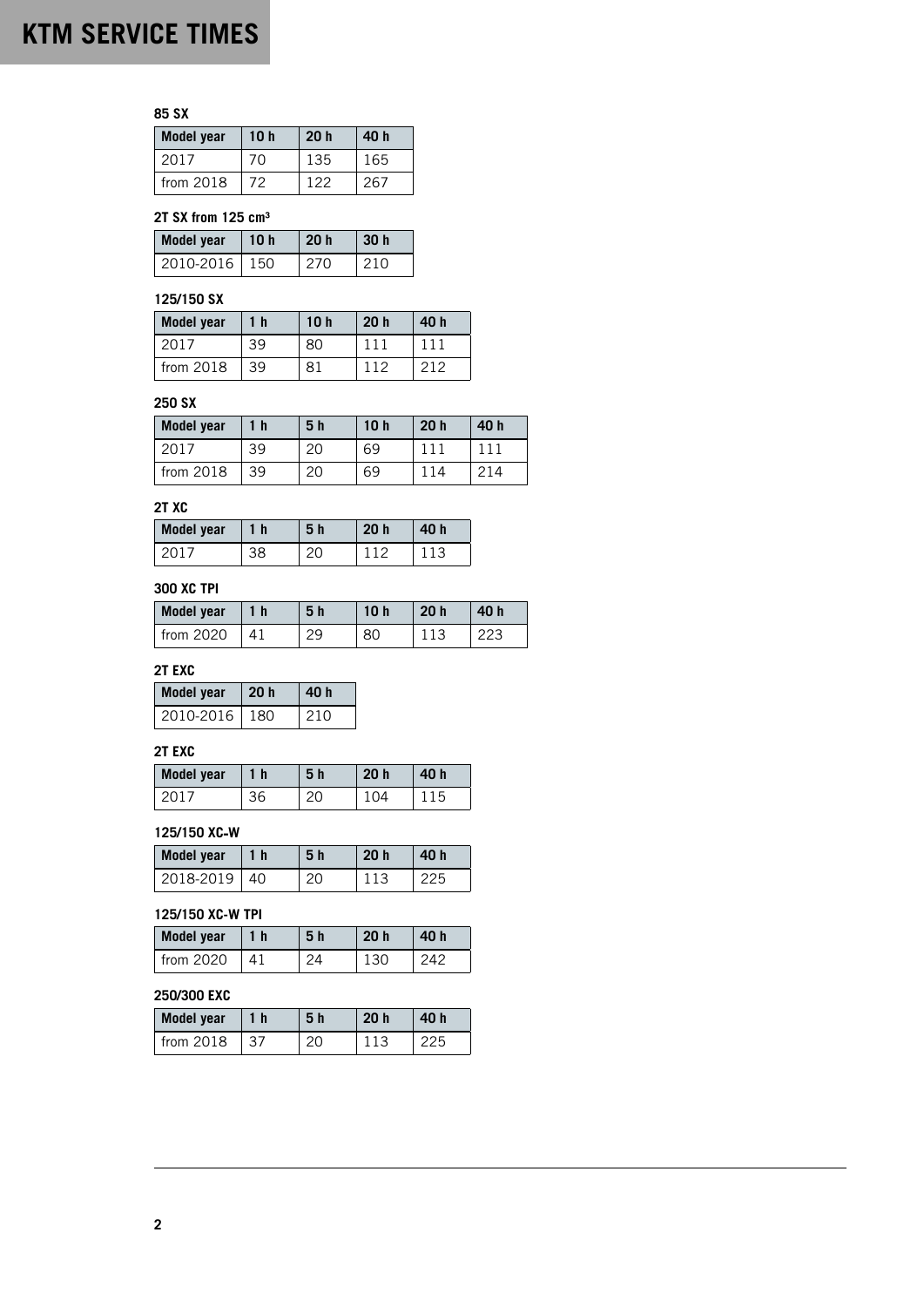**85 SX**

| <b>Model year</b> | 10 <sub>h</sub> | 20 <sub>h</sub> | 40 h |
|-------------------|-----------------|-----------------|------|
| 2017              | 70              | 135             | 165  |
| from 2018         | 72              | 122             | 267  |

## **2T SX from 125 cm³**

| Model year      | 10 <sub>h</sub> | 20 <sub>h</sub> | 30h |
|-----------------|-----------------|-----------------|-----|
| 2010-2016   150 |                 | 270             | 210 |

# **125/150 SX**

| <b>Model year</b> | 1 <sub>h</sub> | 10 <sub>h</sub> | 20 <sub>h</sub> | 40 h |
|-------------------|----------------|-----------------|-----------------|------|
| 2017              | 39             | 80              |                 |      |
| from 2018         | 39             | 81              | 112             | 212  |

# **250 SX**

| <b>Model year</b> | $\mathbf h$ | 5 h | 10 <sub>h</sub> | 20 <sub>h</sub> | 40 h |
|-------------------|-------------|-----|-----------------|-----------------|------|
|                   | 39          | 20  | 69              |                 |      |
| from $2018$       | 39          | 20  | 69              |                 | 214  |

# **2T XC**

| Model year | l h | 5 h | 20 <sub>h</sub> | 40 h |
|------------|-----|-----|-----------------|------|
|            |     |     |                 |      |

# **300 XC TPI**

| Model year | - h | 5 h | 20 <sub>h</sub> | 40 h |
|------------|-----|-----|-----------------|------|
| from 2020  |     |     |                 |      |

# **2T EXC**

| <b>Model year</b> | 20h | 40 h |
|-------------------|-----|------|
| 2010-2016   180   |     | 210  |

## **2T EXC**

| <b>Model year</b> | 1 h | 5 h | 20 <sub>h</sub> | 40 h |
|-------------------|-----|-----|-----------------|------|
|                   | 56  |     |                 |      |

### **125/150 XC**‑**W**

| <b>Model year</b> | l 1 h | 5 h | 20 <sub>h</sub> |     |
|-------------------|-------|-----|-----------------|-----|
| 2018-2019         | -40   |     |                 | ククト |

# **125/150 XC-W TPI**

| Model year    | 1 h | 5 h | 20h | 40 h |
|---------------|-----|-----|-----|------|
| $l$ from 2020 | Δ1  |     | 130 |      |

# **250/300 EXC**

| <b>Model year</b> | 1 h | 5 <sub>h</sub> | 20 <sub>h</sub> | 40 h |
|-------------------|-----|----------------|-----------------|------|
| $l$ from 2018     | 37  |                |                 | つつに  |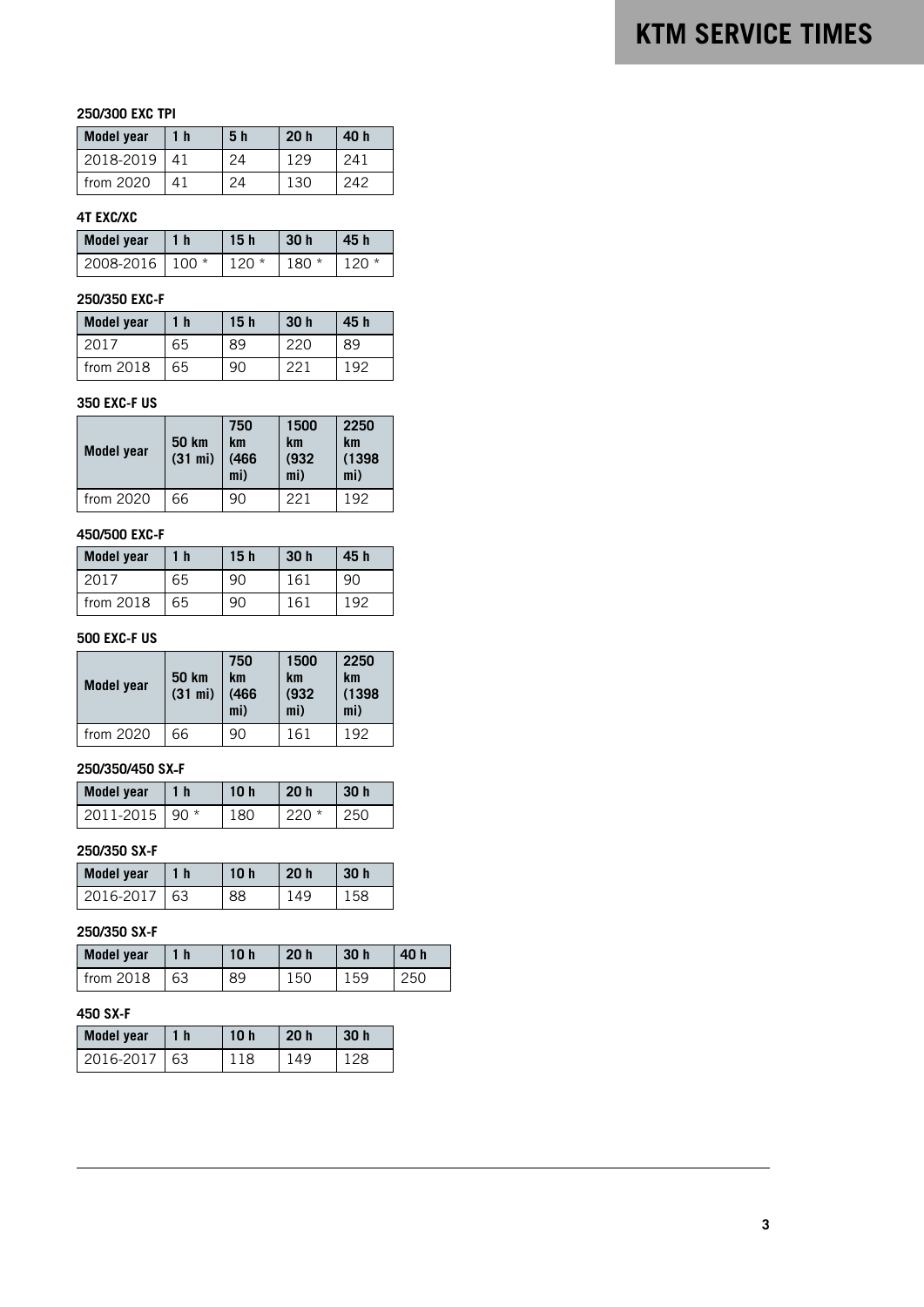## **250/300 EXC TPI**

| <b>Model year</b> | 1 <sub>h</sub> | 5 <sub>h</sub> | 20 <sub>h</sub> | 40 h |
|-------------------|----------------|----------------|-----------------|------|
| 2018-2019         | 41             | 24             | 1 2 Q           | 241  |
| from $2020$       | Л1             | 24             | 130             | 242  |

### **4T EXC/XC**

| Model year        | 1 <sub>h</sub> | 15 <sub>h</sub> | 30h    | 45 h   |
|-------------------|----------------|-----------------|--------|--------|
| 2008-2016   100 * |                | $120*$          | $180*$ | $120*$ |

## **250/350 EXC-F**

| <b>Model year</b> | 1 h | 15h | 30 <sub>h</sub> | 45 h  |
|-------------------|-----|-----|-----------------|-------|
| 2017              | 65  | 89  |                 | 89    |
| from $2018$       | 65  |     | າາ∵             | 1 Q C |

### **350 EXC-F US**

| Model year | <b>50 km</b><br>(31 mi) | 750<br>km<br>(466)<br>mi) | 1500<br>km<br>(932)<br>mi) | 2250<br>km<br>(1398)<br>mi) |
|------------|-------------------------|---------------------------|----------------------------|-----------------------------|
| from 2020  | 66                      | 90                        | 221                        | 192                         |

### **450/500 EXC-F**

| <b>Model year</b> | $\blacksquare$ | 15 <sub>h</sub> | 30 <sub>h</sub> | 45 h |
|-------------------|----------------|-----------------|-----------------|------|
| 2017              | 65             |                 | 161             |      |
| from $2018$       | 65             | 90              | 161             | ⊣ QΩ |

## **500 EXC-F US**

| Model year | <b>50 km</b><br>(31 mi) | 750<br>km<br>(466)<br>mi) | 1500<br>km<br>(932)<br>mi) | 2250<br><b>km</b><br>(1398)<br>mi) |
|------------|-------------------------|---------------------------|----------------------------|------------------------------------|
| from 2020  | 66                      | 90                        | 161                        | 192                                |

### **250/350/450 SX**‑**F**

| Model year       | l 1 h | 10h | 20h     | 30 h |
|------------------|-------|-----|---------|------|
| 2011-2015   90 * |       | 180 | $220 *$ | 250  |

### **250/350 SX-F**

| <b>Model year</b> | 1 h | 10 h | 20h | 30 h |
|-------------------|-----|------|-----|------|
| 2016-2017         | 63  |      |     | אל   |

# **250/350 SX-F**

| Model year    | 1 h | 10 <sub>h</sub> | 20 <sub>h</sub> | 30 <sub>h</sub> | 40 h |
|---------------|-----|-----------------|-----------------|-----------------|------|
| $l$ from 2018 | 63  | 89              | 150             | 159             | 250  |

## **450 SX-F**

| Model year | 1 <sub>h</sub> | 10h | 20h | 30 h |
|------------|----------------|-----|-----|------|
| 2016-2017  | 63             | 118 | 149 | 128  |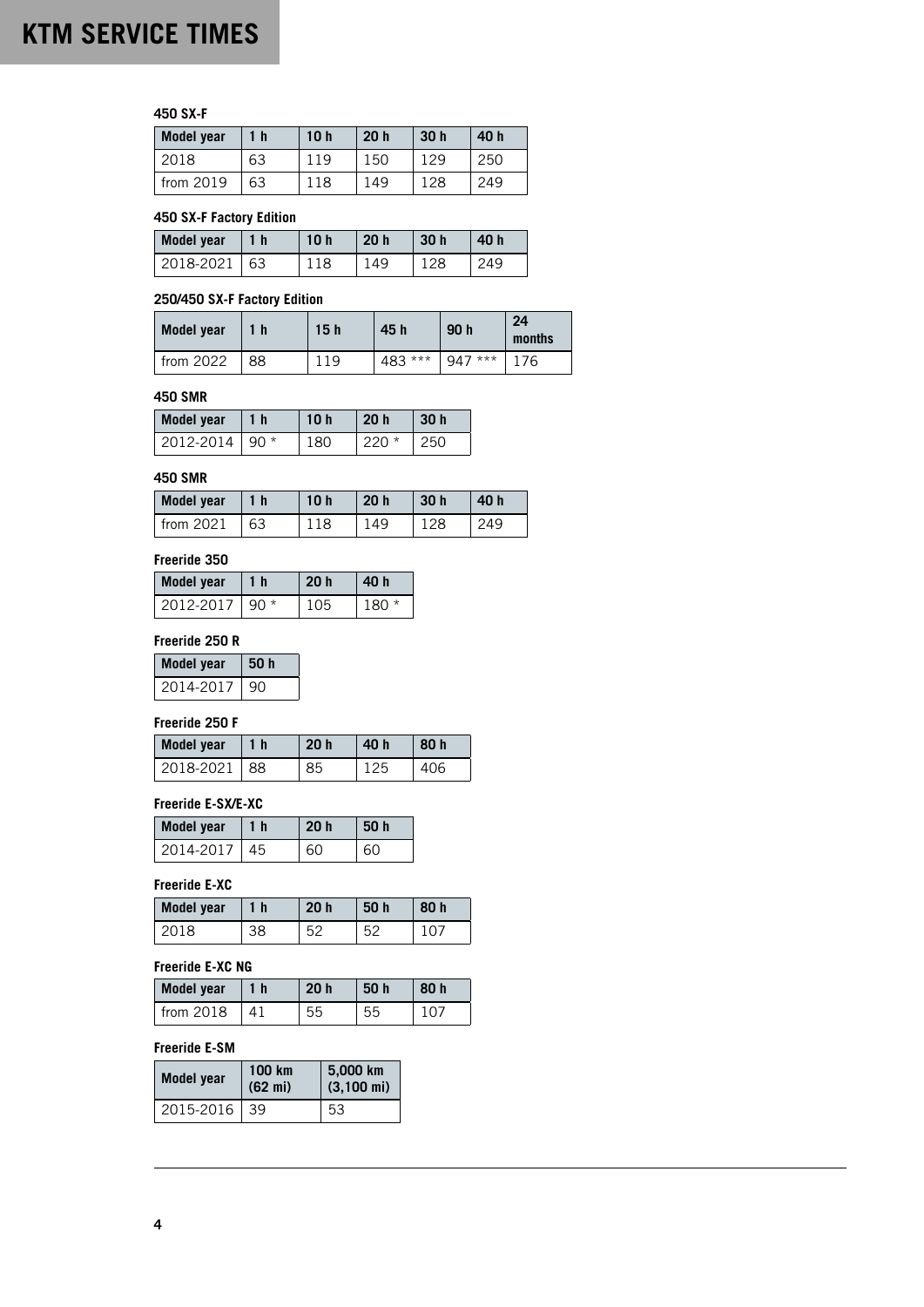## **450 SX-F**

| <b>Model year</b> | 1 <sub>h</sub> | 10 <sub>h</sub> | 20h | 30 <sub>h</sub> | 40 h |
|-------------------|----------------|-----------------|-----|-----------------|------|
| 2018              | 63             | 119             | 150 | 129             | 250  |
| from $2019$       | 63             | 118             | 149 | 128             | 249  |

### **450 SX-F Factory Edition**

| Model year   | 11 h | 10h | 20h | 30h | 40 h |
|--------------|------|-----|-----|-----|------|
| 2018-2021 63 |      | 118 | 149 | 128 | 249  |

### **250/450 SX-F Factory Edition**

| Model year  |    | 15 <sub>h</sub> | 45 h    | 90 h     | 24<br>months |
|-------------|----|-----------------|---------|----------|--------------|
| from $2022$ | 88 | -19             | 483 *** | $947***$ | 76           |

### **450 SMR**

| Model year       | 1 <sub>h</sub> | 10 <sub>h</sub> | 20 h    | 30h    |
|------------------|----------------|-----------------|---------|--------|
| 2012-2014   90 * |                | 180             | $220 *$ | $-250$ |

### **450 SMR**

| Model year    | 1 h | 10 <sub>h</sub> | 20 <sub>h</sub> | 30h | 40 h |
|---------------|-----|-----------------|-----------------|-----|------|
| $l$ from 2021 | 63  |                 | 149             |     |      |

## **Freeride 350**

| <b>Model year</b> | 1 <sub>h</sub> | 20 <sub>h</sub> | 40 h    |
|-------------------|----------------|-----------------|---------|
| 2012-2017   90 *  |                | 105             | $180 *$ |

### **Freeride 250 R**

| <b>Model year</b> | 50h |
|-------------------|-----|
| 2014-2017         | 90  |

# **Freeride 250 F**

| <b>Model year</b> | 20 <sub>h</sub> | 40 h | 80 h |
|-------------------|-----------------|------|------|
| 2018-2021 88      | 85              |      | 406  |

### **Freeride E-SX/E-XC**

| <b>Model year</b> | 1 h | 20 <sub>h</sub> | <b>50 h</b> |
|-------------------|-----|-----------------|-------------|
| 2014-2017         | 45  | 60              | 60          |

### **Freeride E-XC**

| <b>Model year</b> | 1 h | 20 <sub>h</sub> | 50 h | 80 h |
|-------------------|-----|-----------------|------|------|
|                   |     | らつ              | ⊏ຕ   |      |

# **Freeride E-XC NG**

| <b>Model year</b> | l 1 h | 20 <sub>h</sub> | 50 h | 80 h   |
|-------------------|-------|-----------------|------|--------|
| from 2018         | 41    | 55              | 55   | , רז ד |

# **Freeride E-SM**

| Model year | 100 km<br>$(62 \text{ mi})$ | 5,000 km<br>$(3,100 \text{ mi})$ |
|------------|-----------------------------|----------------------------------|
| 2015-2016  | 39                          | 53                               |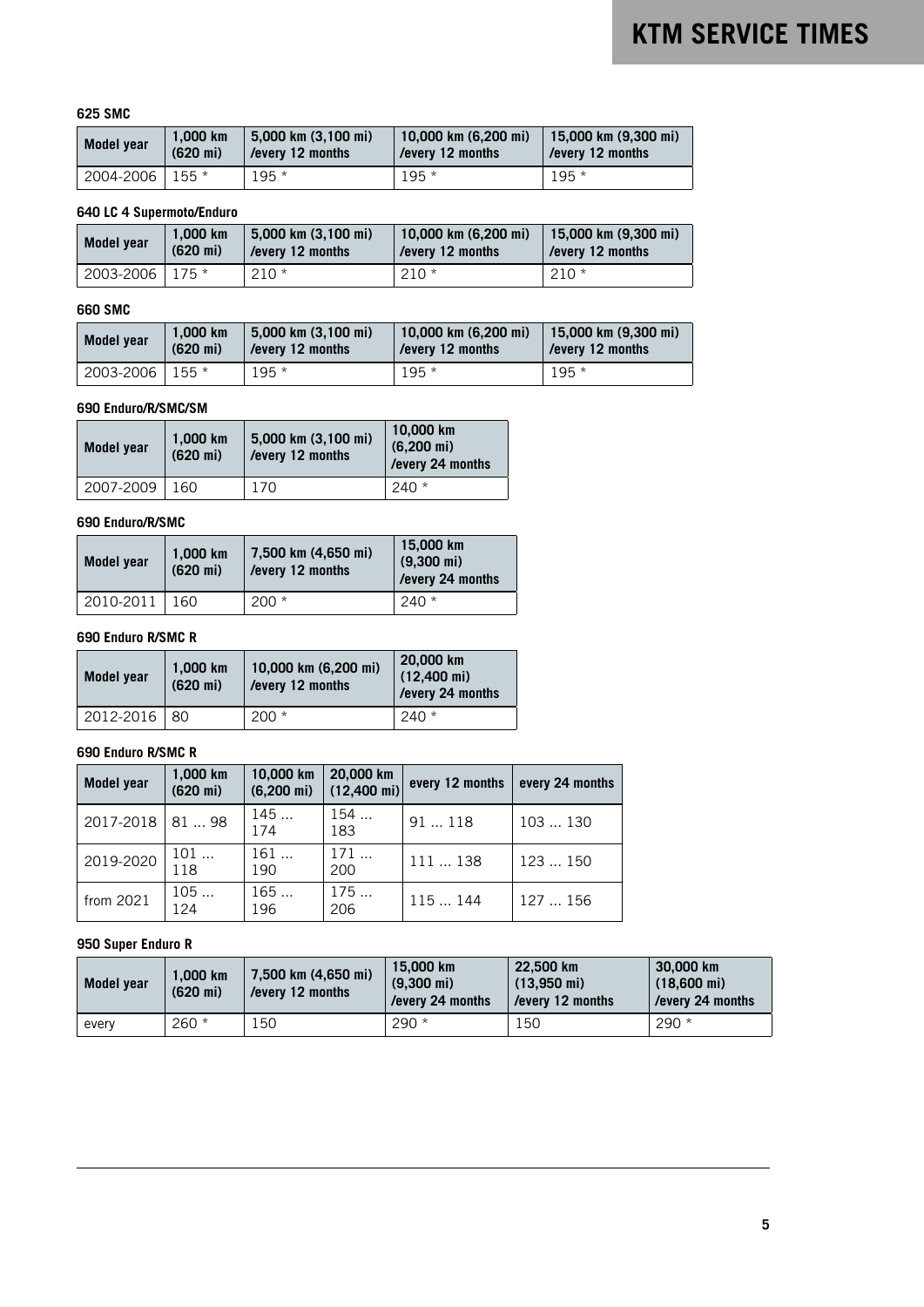### **625 SMC**

| <b>Model year</b> | 1.000 km           | 5.000 km (3.100 mi) | 10,000 km (6,200 mi) | $  15,000$ km $(9,300$ mi) |
|-------------------|--------------------|---------------------|----------------------|----------------------------|
|                   | $(620 \text{ mi})$ | /every 12 months    | every 12 months      | l /everv 12 months         |
| 2004-2006   155 * |                    | $195 *$             | $195*$               | $195*$                     |

### **640 LC 4 Supermoto/Enduro**

| Model year      | 1.000 km           | 5,000 km (3,100 mi) | 10,000 km (6,200 mi) | 15,000 km $(9,300 \text{ mi})$ |
|-----------------|--------------------|---------------------|----------------------|--------------------------------|
|                 | $(620 \text{ mi})$ | /every 12 months    | /every 12 months     | /every 12 months               |
| 2003-2006 175 * |                    | $210*$              | $210*$               | $210*$                         |

### **660 SMC**

| Model year | 1.000 km           | 5,000 km (3,100 mi) | 10,000 km (6,200 mi) | 15,000 km (9,300 mi) |
|------------|--------------------|---------------------|----------------------|----------------------|
|            | $(620 \text{ mi})$ | /every 12 months    | /every 12 months     | /every 12 months     |
| 2003-2006  | $.55*$             | $195 *$             | $195*$               | $195*$               |

## **690 Enduro/R/SMC/SM**

| Model year | 1.000 km<br>$(620 \text{ mi})$ | 5,000 km (3,100 mi)<br>/every 12 months | $10,000$ km<br>$(6,200 \text{ mi})$<br>/every 24 months |
|------------|--------------------------------|-----------------------------------------|---------------------------------------------------------|
| 2007-2009  | 160                            | 170                                     | $240*$                                                  |

### **690 Enduro/R/SMC**

| Model year | 1.000 km<br>$(620 \text{ mi})$ | 7,500 km (4,650 mi)<br>/every 12 months | 15,000 km<br>$(9.300 \text{ mi})$<br>/every 24 months |
|------------|--------------------------------|-----------------------------------------|-------------------------------------------------------|
| 2010-2011  | 160                            | $200 *$                                 | $240*$                                                |

### **690 Enduro R/SMC R**

| Model year   | 1.000 km<br>$(620 \text{ mi})$ | 10,000 km (6,200 mi)<br>/every 12 months | 20,000 km<br>$(12,400 \text{ mi})$<br>/every 24 months |
|--------------|--------------------------------|------------------------------------------|--------------------------------------------------------|
| 2012-2016 80 |                                | $200 *$                                  | $240*$                                                 |

### **690 Enduro R/SMC R**

| <b>Model year</b> | 1.000 km<br>$(620 \text{ mi})$ | 10,000 km<br>$(6,200 \text{ mi})$ | 20,000 km<br>$(12,400 \text{ mi})$ | every 12 months | every 24 months |
|-------------------|--------------------------------|-----------------------------------|------------------------------------|-----------------|-----------------|
| 2017-2018         | 8198                           | 145<br>174                        | 154<br>183                         | 91118           | 103130          |
| 2019-2020         | 101<br>118                     | 161<br>190                        | 171<br>200                         | 111138          | 123  150        |
| from 2021         | 105<br>124                     | 165<br>196                        | 175<br>206                         | 115 144         | 127  156        |

## **950 Super Enduro R**

| Model year | 1.000 km<br>$(620 \text{ mi})$ | 7,500 km (4,650 mi)<br>/every 12 months | 15.000 km<br>$(9.300 \text{ mi})$<br>/every 24 months | 22,500 km<br>$(13.950 \text{ mi})$<br>/every 12 months | 30,000 km<br>$(18,600 \text{ mi})$<br>/every 24 months |
|------------|--------------------------------|-----------------------------------------|-------------------------------------------------------|--------------------------------------------------------|--------------------------------------------------------|
| every      | $260 *$                        | 50ء                                     | $290*$                                                | 150                                                    | $290 *$                                                |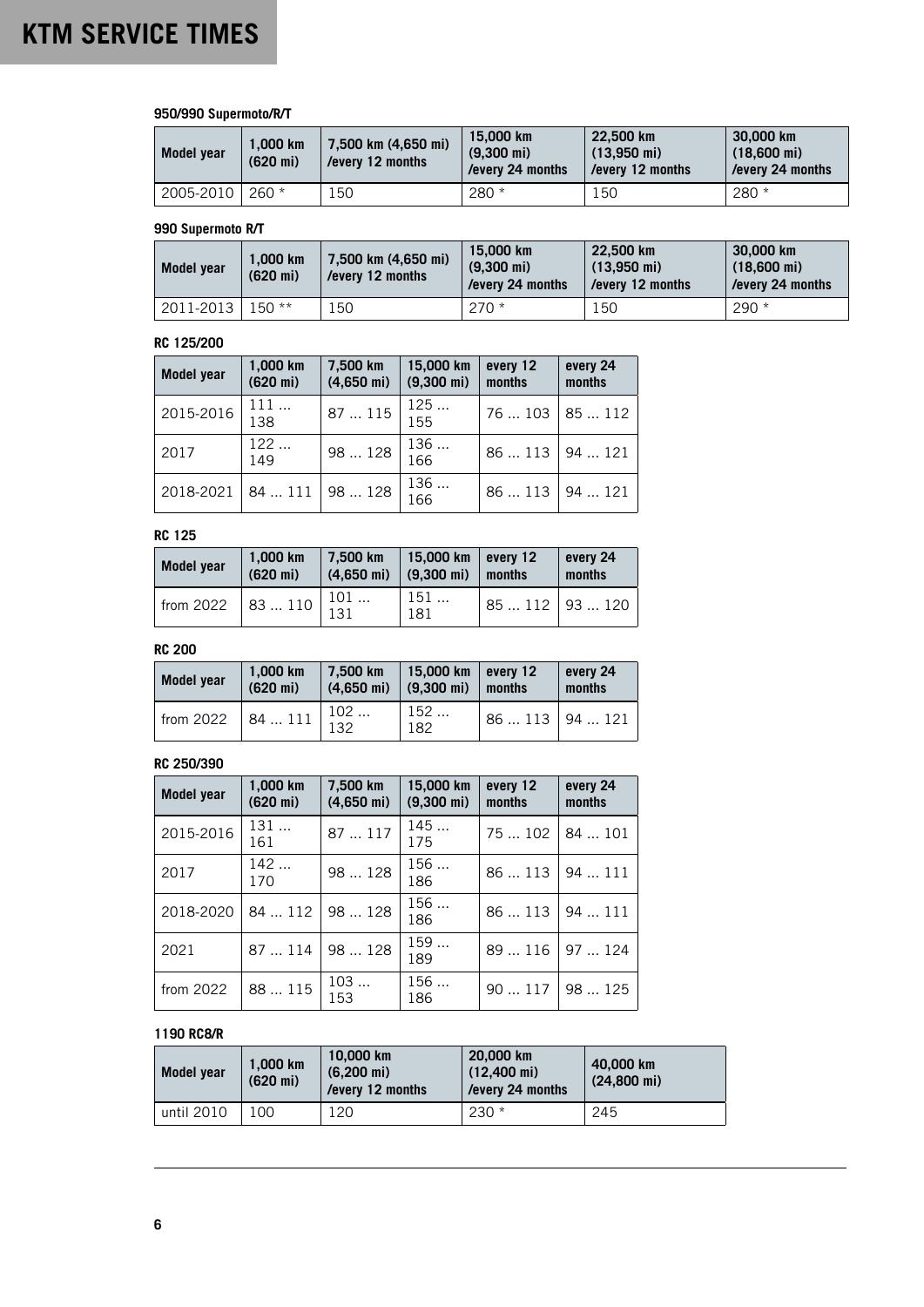## **950/990 Supermoto/R/T**

| <b>Model year</b> | 1.000 km<br>$(620 \text{ mi})$ | 7.500 km (4.650 mi)<br>/every 12 months | 15,000 km<br>$(9.300 \text{ mi})$<br>/every 24 months | 22.500 km<br>$(13.950 \text{ mi})$<br>/every 12 months | 30,000 km<br>$(18,600 \text{ mi})$<br>/every 24 months |
|-------------------|--------------------------------|-----------------------------------------|-------------------------------------------------------|--------------------------------------------------------|--------------------------------------------------------|
| 2005-2010         | $260 *$                        | 150                                     | $280*$                                                | 150                                                    | $280 *$                                                |

### **990 Supermoto R/T**

| Model year | 1.000 km<br>$(620 \text{ mi})$ | 7,500 km (4,650 mi)<br>/every 12 months | 15.000 km<br>$(9.300 \text{ mi})$<br>/every 24 months | 22.500 km<br>$(13.950 \text{ mi})$<br>/every 12 months | 30,000 km<br>$(18,600 \text{ mi})$<br>/every 24 months |
|------------|--------------------------------|-----------------------------------------|-------------------------------------------------------|--------------------------------------------------------|--------------------------------------------------------|
| 2011-2013  | 150 **                         | ' 50                                    | $270*$                                                | 150                                                    | $290 *$                                                |

### **RC 125/200**

| <b>Model year</b> | 1,000 km<br>$(620 \text{ mi})$ | 7,500 km<br>$(4,650 \text{ mi})$ | 15,000 km<br>$(9,300 \text{ mi})$ | every 12<br>months | every 24<br>months |
|-------------------|--------------------------------|----------------------------------|-----------------------------------|--------------------|--------------------|
| 2015-2016         | 111<br>138                     | 87  115                          | 125<br>155                        | 76  103   85  112  |                    |
| 2017              | 122<br>149                     | 98  128                          | 136<br>166                        | 86  113   94  121  |                    |
| 2018-2021         | 84  111                        | 98  128                          | 136<br>166                        | 86  113            | 94121              |

## **RC 125**

| Model year | 1.000 km<br>$(620 \text{ mi})$ | 7.500 km<br>$(4.650 \text{ mi})$ | 15,000 km every 12<br>$(9,300 \text{ mi})$ | months          | every 24<br>months |
|------------|--------------------------------|----------------------------------|--------------------------------------------|-----------------|--------------------|
| from 2022  | 83  110                        | 101<br>131                       | 151<br>181                                 | $85112$ 93  120 |                    |

### **RC 200**

| Model year  | 1.000 km<br>$(620 \text{ mi})$ | 7.500 km<br>$(4.650 \text{ mi})$ | $15,000$ km every 12<br>$(9.300 \text{ mi})$ | months            | every 24<br>months |
|-------------|--------------------------------|----------------------------------|----------------------------------------------|-------------------|--------------------|
| from $2022$ | $184111$ $122$                 | 102                              | 152<br>182                                   | 86  113   94  121 |                    |

### **RC 250/390**

| <b>Model year</b> | 1,000 km<br>$(620 \text{ mi})$ | 7,500 km<br>$(4,650 \text{ mi})$ | 15,000 km<br>$(9,300 \text{ mi})$ | every 12<br>months | every 24<br>months |
|-------------------|--------------------------------|----------------------------------|-----------------------------------|--------------------|--------------------|
| 2015-2016         | 131<br>161                     | 87  117                          | 145<br>175                        | 75  102            | 84  101            |
| 2017              | 142<br>170                     | 98  128                          | 156<br>186                        | 86113              | 94111              |
| 2018-2020         |                                | 84  112   98  128                | 156<br>186                        | 86  113            | 94  111            |
| 2021              | 87  114                        | 98  128                          | 159<br>189                        | 89  116            | 97  124            |
| from 2022         | 88  115                        | 103<br>153                       | 156<br>186                        | 90117              | 98  125            |

### **1190 RC8/R**

| Model year | 1.000 km<br>$(620 \text{ mi})$ | 10,000 km<br>$(6.200 \text{ mi})$<br>/every 12 months | 20,000 km<br>$(12.400 \text{ mi})$<br>/every 24 months | 40,000 km<br>$(24.800 \text{ mi})$ |
|------------|--------------------------------|-------------------------------------------------------|--------------------------------------------------------|------------------------------------|
| until 2010 | 100                            | 120                                                   | $230 *$                                                | 245                                |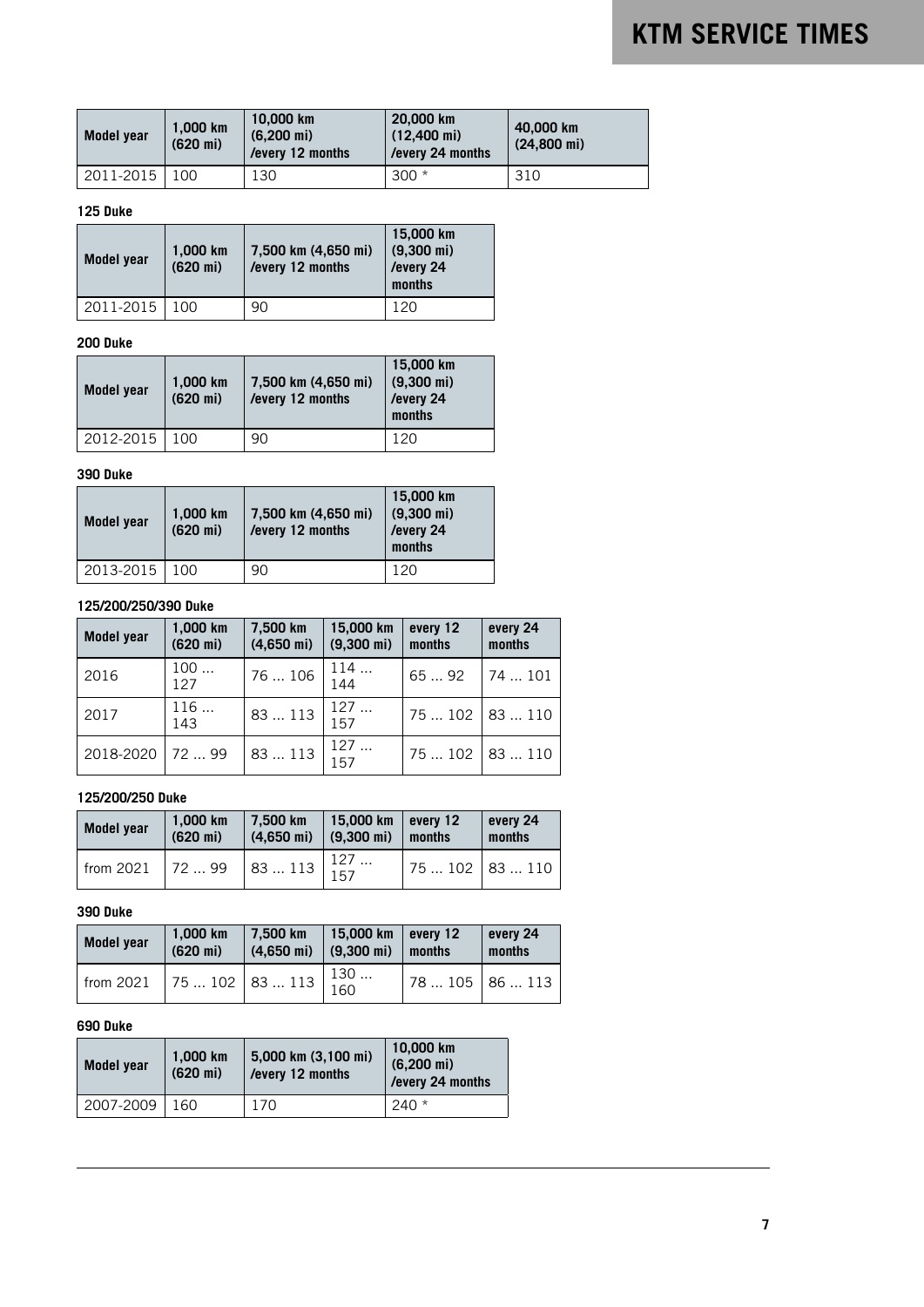| Model year | 1.000 km<br>$(620 \text{ mi})$ | 10,000 km<br>$(6.200 \text{ mi})$<br>/every 12 months | 20,000 km<br>$(12,400 \text{ mi})$<br>/every 24 months | 40,000 km<br>$(24.800 \text{ mi})$ |
|------------|--------------------------------|-------------------------------------------------------|--------------------------------------------------------|------------------------------------|
| 2011-2015  | 100                            | 130                                                   | $300*$                                                 | 310                                |

### **125 Duke**

| Model year | 1,000 km<br>$(620 \text{ mi})$ | 7,500 km (4,650 mi)<br>/every 12 months | 15,000 km<br>$(9,300 \text{ mi})$<br>/every 24<br>months |
|------------|--------------------------------|-----------------------------------------|----------------------------------------------------------|
| 2011-2015  | 100                            | 90                                      | 120                                                      |

### **200 Duke**

| Model year | 1,000 km<br>$(620 \text{ mi})$ | 7,500 km (4,650 mi)<br>/every 12 months | 15,000 km<br>$(9,300 \text{ mi})$<br>/every 24<br>months |
|------------|--------------------------------|-----------------------------------------|----------------------------------------------------------|
| 2012-2015  | 100                            | 90                                      | 120                                                      |

## **390 Duke**

| Model year | 1,000 km<br>$(620 \text{ mi})$ | 7,500 km (4,650 mi)<br>/every 12 months | 15,000 km<br>$(9,300 \text{ mi})$<br>/every 24<br>months |
|------------|--------------------------------|-----------------------------------------|----------------------------------------------------------|
| 2013-2015  | 100                            | 90                                      | 120                                                      |

### **125/200/250/390 Duke**

| <b>Model year</b> | 1,000 km<br>$(620 \text{ mi})$ | 7,500 km<br>$(4,650 \text{ mi})$ | 15,000 km<br>$(9,300 \text{ mi})$ | every 12<br>months | every 24<br>months |
|-------------------|--------------------------------|----------------------------------|-----------------------------------|--------------------|--------------------|
| 2016              | 100<br>127                     | 76  106                          | 114<br>$\frac{1}{144}$            | $6592$   74  101   |                    |
| 2017              | 116<br>143                     | 83  113                          | 127<br>157                        | $175102$   83  110 |                    |
| 2018-2020         | 7299                           | 83  113                          | 127<br>157                        | 75  102   83  110  |                    |

# **125/200/250 Duke**

| <b>Model year</b> | 1.000 km<br>$(620 \text{ mi})$ | 7.500 km<br>$(4,650 \text{ mi})$                 | 15,000 km every 12<br>$(9,300 \text{ mi})$ months |             | every 24<br>months |
|-------------------|--------------------------------|--------------------------------------------------|---------------------------------------------------|-------------|--------------------|
| from $2021$       | 17299                          | $83113 \begin{array}{ l} 127 \\ 157 \end{array}$ |                                                   | 75102 83110 |                    |

# **390 Duke**

| <b>Model year</b> | 1,000 km<br>$(620 \text{ mi})$ | 7.500 km<br>$(4.650 \text{ mi})$  | 15,000 km   every 12<br>$(9,300 \text{ mi})$ | months          | every 24<br>months |
|-------------------|--------------------------------|-----------------------------------|----------------------------------------------|-----------------|--------------------|
| from 2021         |                                | $\sqrt{75 \dots 102}$ 83  113 130 |                                              | $78105$ 86  113 |                    |

### **690 Duke**

| Model year | 1.000 km<br>$(620 \text{ mi})$ | 5,000 km (3,100 mi)<br>/every 12 months | 10,000 km<br>$(6,200 \text{ mi})$<br>/every 24 months |
|------------|--------------------------------|-----------------------------------------|-------------------------------------------------------|
| 2007-2009  | 160.                           | 170                                     | $240*$                                                |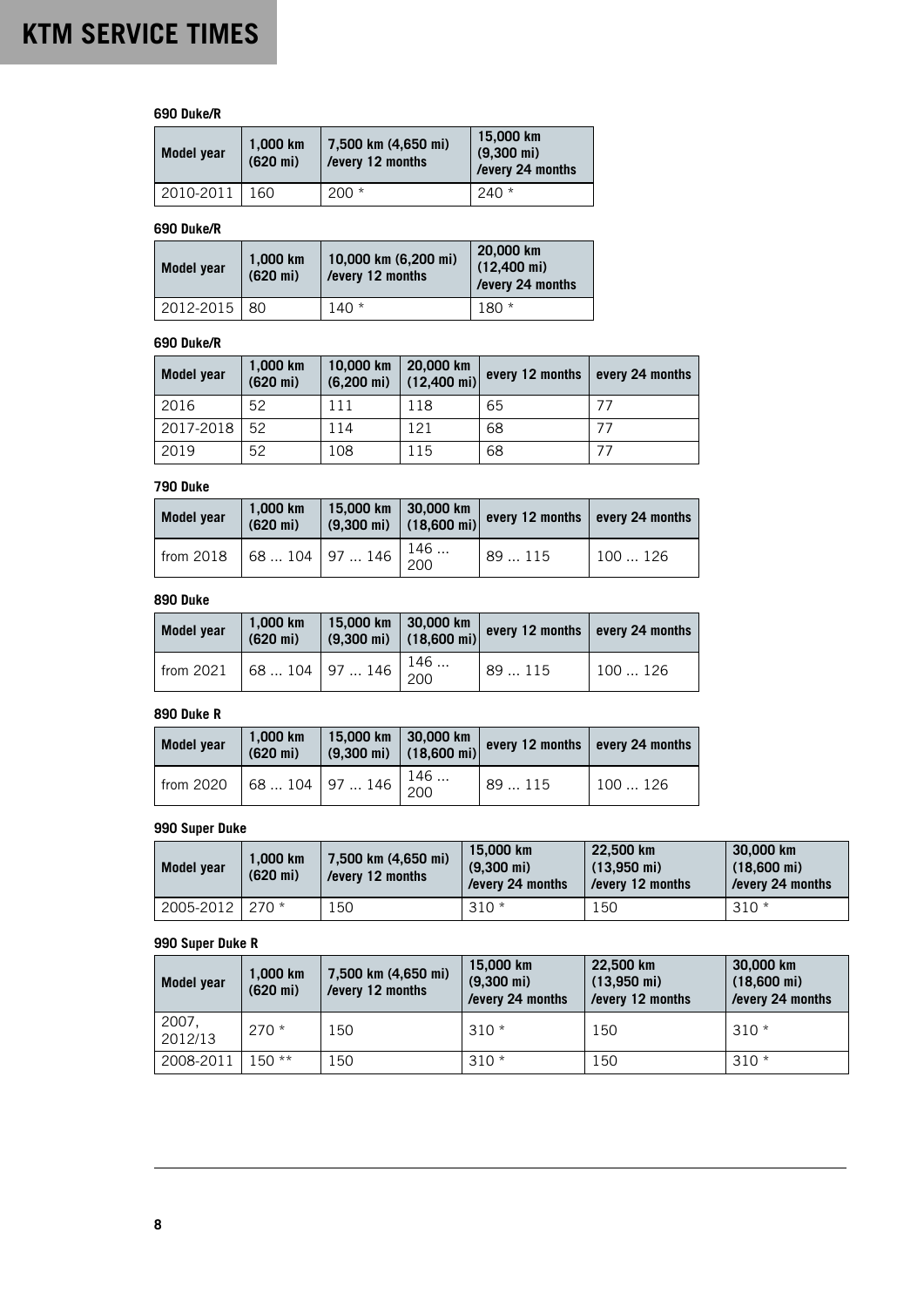## **690 Duke/R**

| Model year | 1.000 km<br>$(620 \text{ mi})$ | 7,500 km (4,650 mi)<br>/every 12 months | 15,000 km<br>$(9,300 \text{ mi})$<br>/every 24 months |
|------------|--------------------------------|-----------------------------------------|-------------------------------------------------------|
| 2010-2011  | 160                            | $200 *$                                 | $240*$                                                |

### **690 Duke/R**

| Model year    | 1.000 km<br>$(620 \text{ mi})$ | 10,000 km (6,200 mi)<br>/every 12 months | 20,000 km<br>$(12,400 \text{ mi})$<br>/every 24 months |
|---------------|--------------------------------|------------------------------------------|--------------------------------------------------------|
| $2012 - 2015$ | 80                             | $140*$                                   | $180*$                                                 |

### **690 Duke/R**

| Model year | 1,000 km<br>$(620 \text{ mi})$ | 10,000 km<br>$(6,200 \text{ mi})$ | 20,000 km<br>$(12,400 \text{ mi})$ | every 12 months | every 24 months |
|------------|--------------------------------|-----------------------------------|------------------------------------|-----------------|-----------------|
| 2016       | 52                             | 111                               | 118                                | 65              | 77              |
| 2017-2018  | 52                             | l 14                              | 121                                | 68              | 77              |
| 2019       | 52                             | 108                               | 115                                | 68              | 77              |

### **790 Duke**

| <b>Model year</b>               | 1,000 km<br>$(620 \text{ mi})$ |  | $\begin{array}{ c c c c c c c c }\n \hline 15,000 \text{ km} & 30,000 \text{ km} \\  \hline (9,300 \text{ mi}) & (18,600 \text{ mi}) & \hline \end{array}$ every 12 months every 24 months |        |
|---------------------------------|--------------------------------|--|--------------------------------------------------------------------------------------------------------------------------------------------------------------------------------------------|--------|
| from 2018 68  104 97  146 $146$ |                                |  | 89  115                                                                                                                                                                                    | 100126 |

# **890 Duke**

| Model year | 1.000 km<br>$(620 \text{ mi})$ | 15,000 km                                       | $ 30,000$ km | $(9,300 \text{ mi})$ $(18,600 \text{ mi})$ every 12 months every 24 months |        |
|------------|--------------------------------|-------------------------------------------------|--------------|----------------------------------------------------------------------------|--------|
| from 2021  |                                | $\sqrt{68 \dots 104}$ 97  146 $\frac{146}{200}$ |              | 89115                                                                      | 100126 |

### **890 Duke R**

| Model year | 1.000 km<br>$(620 \text{ mi})$ | 15,000 km   30,000 km | $(9,300 \text{ mi})$ $(18,600 \text{ mi})$ | every 12 months every 24 months |        |
|------------|--------------------------------|-----------------------|--------------------------------------------|---------------------------------|--------|
| from 2020  | $\sqrt{68}$ 104 97  146 $146$  |                       |                                            | 89115                           | 100126 |

# **990 Super Duke**

| <b>Model year</b> | 1.000 km<br>$(620 \text{ mi})$ | 7,500 km (4,650 mi)<br>/every 12 months | 15.000 km<br>$(9.300 \text{ mi})$<br>/every 24 months | 22.500 km<br>$(13.950 \text{ mi})$<br>/every 12 months | 30,000 km<br>$(18,600 \text{ mi})$<br>/every 24 months |
|-------------------|--------------------------------|-----------------------------------------|-------------------------------------------------------|--------------------------------------------------------|--------------------------------------------------------|
| 2005-2012 270 *   |                                | 150                                     | $310*$                                                | 150                                                    | $310*$                                                 |

## **990 Super Duke R**

| Model year       | 1.000 km<br>$(620 \text{ mi})$ | 7,500 km (4,650 mi)<br>/every 12 months | 15,000 km<br>$(9,300 \text{ mi})$<br>/every 24 months | 22,500 km<br>$(13,950 \text{ mi})$<br>/every 12 months | 30,000 km<br>$(18,600 \text{ mi})$<br>/every 24 months |
|------------------|--------------------------------|-----------------------------------------|-------------------------------------------------------|--------------------------------------------------------|--------------------------------------------------------|
| 2007,<br>2012/13 | $270*$                         | 150                                     | $310*$                                                | 150                                                    | $310*$                                                 |
| 2008-2011        | 150 **                         | 150                                     | $310*$                                                | 150                                                    | $310*$                                                 |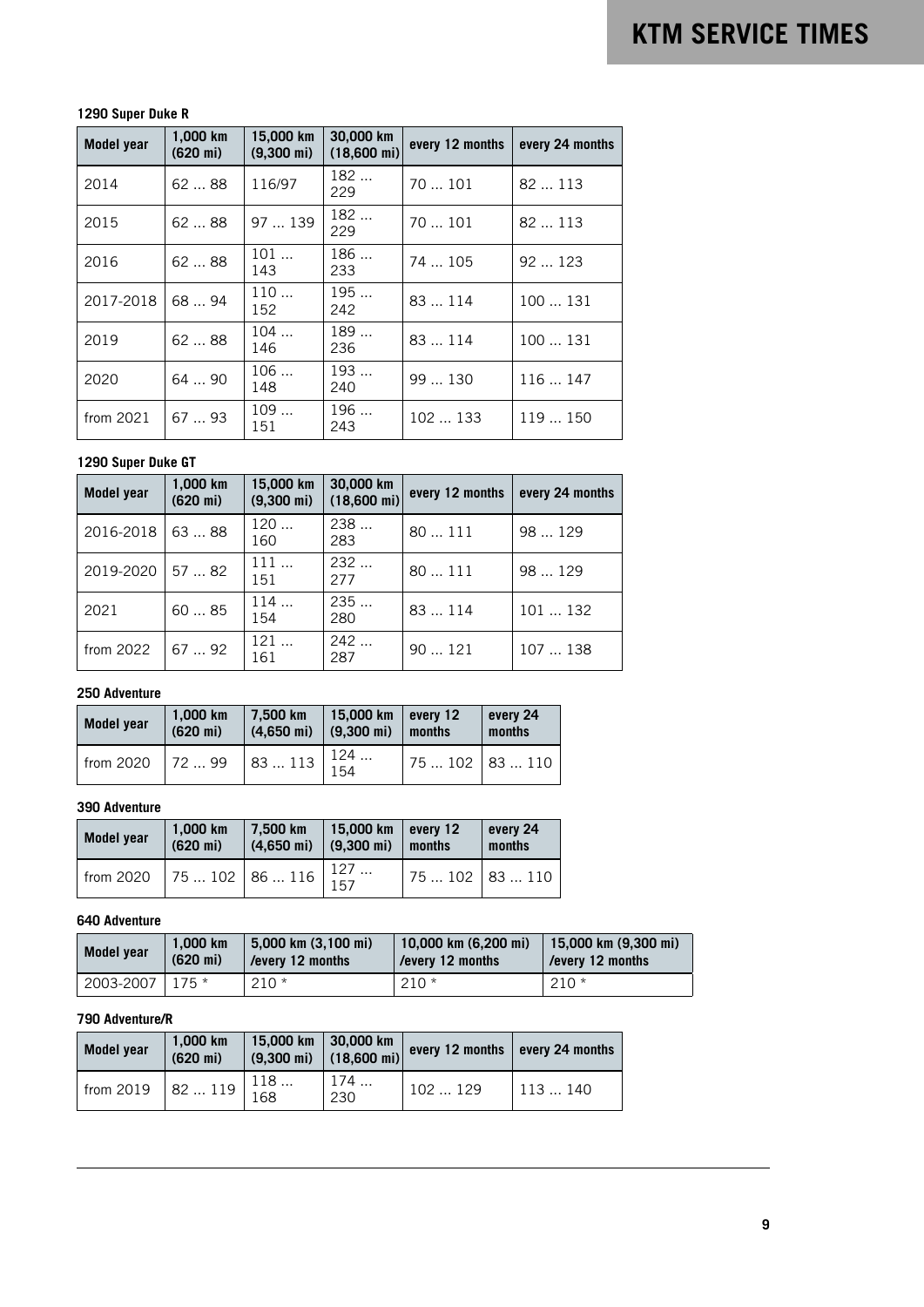# **1290 Super Duke R**

| <b>Model year</b> | 1.000 km<br>$(620 \text{ mi})$ | 15,000 km<br>$(9,300 \text{ mi})$ | 30,000 km<br>$(18,600 \text{ mi})$ | every 12 months | every 24 months |
|-------------------|--------------------------------|-----------------------------------|------------------------------------|-----------------|-----------------|
| 2014              | 6288                           | 116/97                            | 182<br>229                         | 70  101         | 82  113         |
| 2015              | 6288                           | 97  139                           | 182<br>229                         | 70  101         | 82  113         |
| 2016              | 62  88                         | 101<br>143                        | 186<br>233                         | 74  105         | 92123           |
| 2017-2018         | 68  94                         | 110<br>152                        | 195<br>242                         | 83  114         | 100  131        |
| 2019              | 6288                           | 104<br>146                        | 189<br>236                         | 83  114         | 100131          |
| 2020              | 6490                           | 106<br>148                        | 193<br>240                         | 99  130         | 116  147        |
| from 2021         | 67  93                         | 109<br>151                        | 196<br>243                         | 102  133        | 119  150        |

### **1290 Super Duke GT**

| <b>Model year</b> | 1,000 km<br>$(620 \text{ mi})$ | 15,000 km<br>$(9,300 \text{ mi})$ | 30,000 km<br>$(18,600 \text{ mi})$ | every 12 months | every 24 months |
|-------------------|--------------------------------|-----------------------------------|------------------------------------|-----------------|-----------------|
| 2016-2018         | 63  88                         | 120<br>160                        | 238<br>283                         | 80111           | 98  129         |
| 2019-2020         | 57  82                         | 111<br>151                        | 232<br>277                         | 80111           | 98  129         |
| 2021              | 6085                           | 114<br>154                        | 235<br>280                         | 83  114         | 101  132        |
| from 2022         | 67  92                         | 121<br>161                        | 242<br>287                         | 90121           | 107  138        |

### **250 Adventure**

| <b>Model year</b> | 1.000 km<br>$(620 \text{ mi})$ | 7.500 km<br>$(4.650 \text{ mi})$                                                                | 15,000 km   every 12<br>$(9,300 \text{ mi})$ | months           | every 24<br>months |
|-------------------|--------------------------------|-------------------------------------------------------------------------------------------------|----------------------------------------------|------------------|--------------------|
| from 2020         | 17299                          | $\begin{array}{ c c c c c }\n\hline\n83 & 113 & 124 & \dots \\ \hline\n154 & & & \n\end{array}$ |                                              | $175102$ 83  110 |                    |

# **390 Adventure**

| <b>Model year</b> | 1.000 km<br>$(620 \text{ mi})$ | 7.500 km<br>$(4.650 \text{ mi})$ (9.300 mi) | 15,000 km   every 12 | months          | every 24<br>months |
|-------------------|--------------------------------|---------------------------------------------|----------------------|-----------------|--------------------|
| from 2020         | $\sqrt{75102}$ 86  116 $127$   |                                             |                      | $75102$ 83  110 |                    |

## **640 Adventure**

| Model year | 1.000 km           | 5.000 km (3.100 mi) | 10,000 km (6,200 mi) | 15,000 km (9,300 mi) |
|------------|--------------------|---------------------|----------------------|----------------------|
|            | $(620 \text{ mi})$ | /every 12 months    | /every 12 months     | every 12 months      |
| 2003-2007  | $175*$             | $210*$              | $210*$               | $210*$               |

# **790 Adventure/R**

| <b>Model year</b>                                                        | 1.000 km<br>$(620 \text{ mi})$ |     | 15,000 km 30,000 km<br>$(9,300 \text{ mi})$ $(18,600 \text{ mi})$ | every 12 months every 24 months |        |
|--------------------------------------------------------------------------|--------------------------------|-----|-------------------------------------------------------------------|---------------------------------|--------|
| from 2019 82  119 $\begin{vmatrix} 110 & 110 \\ 168 & 110 \end{vmatrix}$ |                                | 118 | 174<br>230                                                        | 102129                          | 113140 |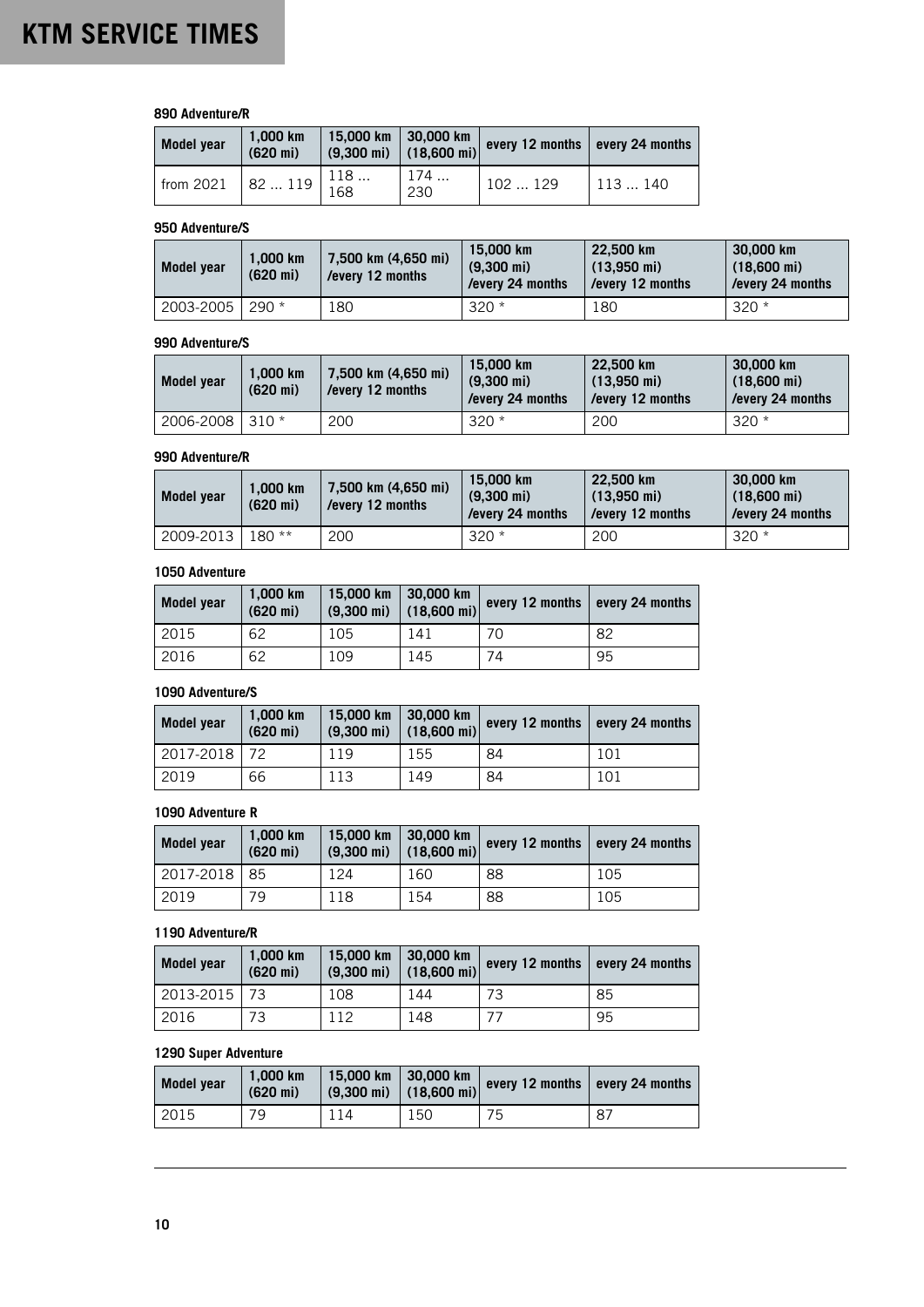### **890 Adventure/R**

| Model year                                                                     | 1.000 km<br>$(620 \text{ mi})$ | 15,000 km   30,000 km | $\left(9,300 \text{ mi}\right)$ $\left(18,600 \text{ mi}\right)$ every 12 months every 24 months |        |
|--------------------------------------------------------------------------------|--------------------------------|-----------------------|--------------------------------------------------------------------------------------------------|--------|
| from 2021 82  119 $\begin{bmatrix} 110 & \cdots \\ 168 & \cdots \end{bmatrix}$ |                                | 174<br>230            | 102129                                                                                           | 113140 |

### **950 Adventure/S**

| Model year | 1.000 km<br>$(620 \text{ mi})$ | 7,500 km (4,650 mi)<br>/every 12 months | 15,000 km<br>$(9.300 \text{ mi})$<br>/every 24 months | 22.500 km<br>$(13.950 \text{ mi})$<br>/every 12 months | 30,000 km<br>$(18,600 \text{ mi})$<br>/every 24 months |
|------------|--------------------------------|-----------------------------------------|-------------------------------------------------------|--------------------------------------------------------|--------------------------------------------------------|
| 2003-2005  | $290 *$                        | 180                                     | $320*$                                                | 180                                                    | $320 *$                                                |

### **990 Adventure/S**

| <b>Model year</b> | 1.000 km<br>$(620 \text{ mi})$ | 7,500 km (4,650 mi)<br>/every 12 months | 15.000 km<br>$(9.300 \text{ mi})$<br>/every 24 months | 22.500 km<br>$(13.950 \text{ mi})$<br>/every 12 months | 30,000 km<br>$(18,600 \text{ mi})$<br>/every 24 months |
|-------------------|--------------------------------|-----------------------------------------|-------------------------------------------------------|--------------------------------------------------------|--------------------------------------------------------|
| 2006-2008 310 *   |                                | 200                                     | $320*$                                                | 200                                                    | $320*$                                                 |

#### **990 Adventure/R**

| Model year | 1.000 km<br>$(620 \text{ mi})$ | 7,500 km (4,650 mi)<br>/every 12 months | 15,000 km<br>$(9.300 \text{ mi})$<br>/every 24 months | 22,500 km<br>$(13.950 \text{ mi})$<br>/every 12 months | 30,000 km<br>$(18,600 \text{ mi})$<br>/every 24 months |
|------------|--------------------------------|-----------------------------------------|-------------------------------------------------------|--------------------------------------------------------|--------------------------------------------------------|
| 2009-2013  | $180**$                        | 200                                     | $320*$                                                | 200                                                    | $320*$                                                 |

## **1050 Adventure**

| Model year | 1.000 km<br>$(620 \text{ mi})$ | 15,000 km | $ 30,000$ km<br>$(9,300 \text{ mi})$ $(18,600 \text{ mi})$ | every 12 months | $\vert$ every 24 months |
|------------|--------------------------------|-----------|------------------------------------------------------------|-----------------|-------------------------|
| 2015       | 62                             | 105       | 141                                                        | 70              | 82                      |
| 2016       | 62                             | 109       | 145                                                        | 74              | 95                      |

## **1090 Adventure/S**

| Model year | 1.000 km<br>$(620 \text{ mi})$ | 15,000 km | $\vert$ 30,000 km<br>$(9,300 \text{ mi})$ (18,600 mi) | every 12 months | every 24 months |
|------------|--------------------------------|-----------|-------------------------------------------------------|-----------------|-----------------|
| 2017-2018  | 72                             | 119       | 155                                                   | 84              | 101             |
| 2019       | 66                             | 113       | 149                                                   | 84              | 101             |

## **1090 Adventure R**

| Model year   | 1.000 km<br>$(620 \text{ mi})$ | 15,000 km<br>$(9,300 \text{ mi})$ | 30,000 km<br>$(18,600 \text{ mi})$ | every 12 months | every 24 months |
|--------------|--------------------------------|-----------------------------------|------------------------------------|-----------------|-----------------|
| 2017-2018 85 |                                | 124                               | 160                                | 88              | 105             |
| 2019         | 79                             | 118                               | 154                                | 88              | 105             |

### **1190 Adventure/R**

| Model year   | 1.000 km<br>$(620 \text{ mi})$ | 15,000 km<br>$(9,300 \text{ mi})$ | 30,000 km<br>$(18,600 \text{ mi})$ | every 12 months | every 24 months |
|--------------|--------------------------------|-----------------------------------|------------------------------------|-----------------|-----------------|
| 2013-2015 73 |                                | 108                               | 144                                | 73              | 85              |
| 2016         | 73                             | 12                                | 148                                | 77              | 95              |

# **1290 Super Adventure**

| <b>Model vear</b> | 1.000 km<br>$(620 \text{ mi})$ | 15,000 km | $ 30,000$ km<br>$(9,300 \text{ mi})$ $(18,600 \text{ mi})$ | every 12 months every 24 months |    |
|-------------------|--------------------------------|-----------|------------------------------------------------------------|---------------------------------|----|
| 2015              | 79                             |           | 150                                                        | 75                              | 87 |